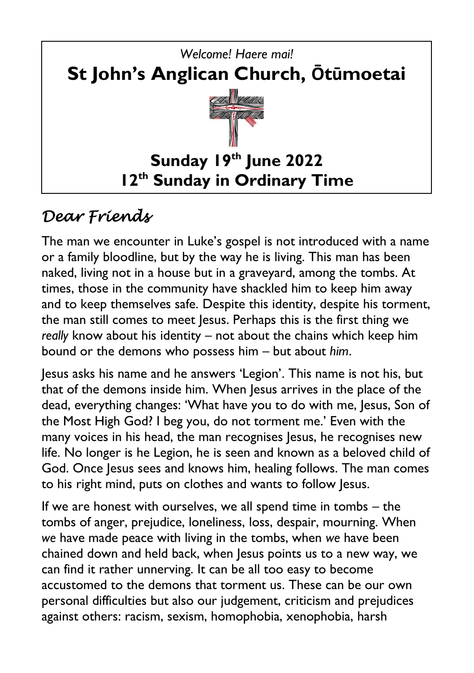

# *Dear Friends*

The man we encounter in Luke's gospel is not introduced with a name or a family bloodline, but by the way he is living. This man has been naked, living not in a house but in a graveyard, among the tombs. At times, those in the community have shackled him to keep him away and to keep themselves safe. Despite this identity, despite his torment, the man still comes to meet Jesus. Perhaps this is the first thing we *really* know about his identity – not about the chains which keep him bound or the demons who possess him – but about *him*.

Jesus asks his name and he answers 'Legion'. This name is not his, but that of the demons inside him. When Jesus arrives in the place of the dead, everything changes: 'What have you to do with me, Jesus, Son of the Most High God? I beg you, do not torment me.' Even with the many voices in his head, the man recognises Jesus, he recognises new life. No longer is he Legion, he is seen and known as a beloved child of God. Once Jesus sees and knows him, healing follows. The man comes to his right mind, puts on clothes and wants to follow Jesus.

If we are honest with ourselves, we all spend time in tombs – the tombs of anger, prejudice, loneliness, loss, despair, mourning. When *we* have made peace with living in the tombs, when *we* have been chained down and held back, when Jesus points us to a new way, we can find it rather unnerving. It can be all too easy to become accustomed to the demons that torment us. These can be our own personal difficulties but also our judgement, criticism and prejudices against others: racism, sexism, homophobia, xenophobia, harsh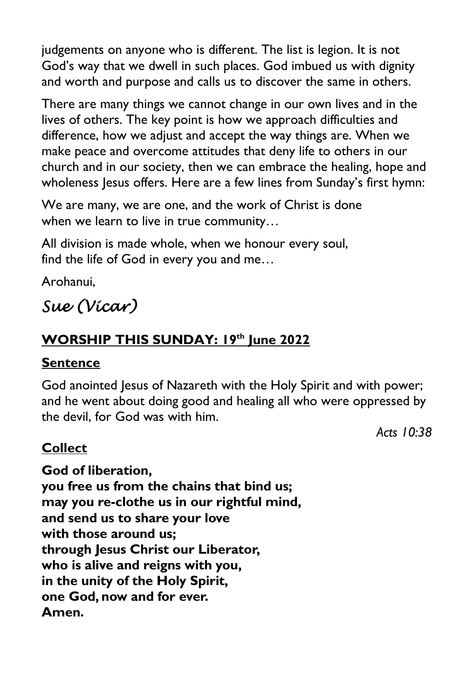judgements on anyone who is different. The list is legion. It is not God's way that we dwell in such places. God imbued us with dignity and worth and purpose and calls us to discover the same in others.

There are many things we cannot change in our own lives and in the lives of others. The key point is how we approach difficulties and difference, how we adjust and accept the way things are. When we make peace and overcome attitudes that deny life to others in our church and in our society, then we can embrace the healing, hope and wholeness Jesus offers. Here are a few lines from Sunday's first hymn:

We are many, we are one, and the work of Christ is done when we learn to live in true community…

All division is made whole, when we honour every soul, find the life of God in every you and me…

Arohanui,

# *Sue (Vicar)*

### **WORSHIP THIS SUNDAY: 19th June 2022**

### **Sentence**

God anointed Jesus of Nazareth with the Holy Spirit and with power; and he went about doing good and healing all who were oppressed by the devil, for God was with him.

*Acts 10:38*

**Collect**

**God of liberation, you free us from the chains that bind us; may you re-clothe us in our rightful mind, and send us to share your love with those around us; through Jesus Christ our Liberator, who is alive and reigns with you, in the unity of the Holy Spirit, one God, now and for ever. Amen.**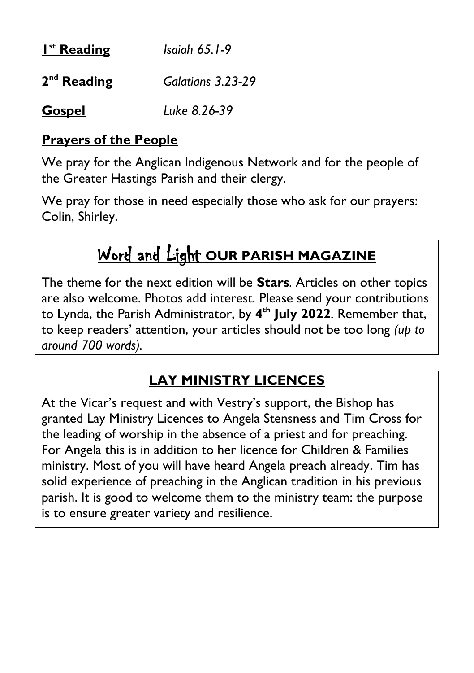| I <sup>st</sup> Reading | Isaiah $65.1-9$   |
|-------------------------|-------------------|
| $2nd$ Reading           | Galatians 3.23-29 |
| <b>Gospel</b>           | Luke 8.26-39      |

### **Prayers of the People**

We pray for the Anglican Indigenous Network and for the people of the Greater Hastings Parish and their clergy.

We pray for those in need especially those who ask for our prayers: Colin, Shirley.

# Word and Light **OUR PARISH MAGAZINE**

The theme for the next edition will be **Stars***.* Articles on other topics are also welcome. Photos add interest. Please send your contributions to Lynda, the Parish Administrator, by **4 th July 2022**. Remember that, to keep readers' attention, your articles should not be too long *(up to around 700 words).*

### **LAY MINISTRY LICENCES**

At the Vicar's request and with Vestry's support, the Bishop has granted Lay Ministry Licences to Angela Stensness and Tim Cross for the leading of worship in the absence of a priest and for preaching. For Angela this is in addition to her licence for Children & Families ministry. Most of you will have heard Angela preach already. Tim has solid experience of preaching in the Anglican tradition in his previous parish. It is good to welcome them to the ministry team: the purpose is to ensure greater variety and resilience.